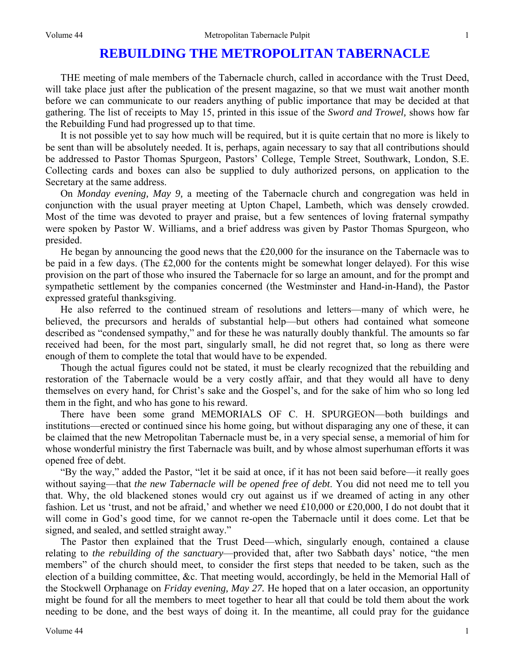## **REBUILDING THE METROPOLITAN TABERNACLE**

THE meeting of male members of the Tabernacle church, called in accordance with the Trust Deed, will take place just after the publication of the present magazine, so that we must wait another month before we can communicate to our readers anything of public importance that may be decided at that gathering. The list of receipts to May 15, printed in this issue of the *Sword and Trowel,* shows how far the Rebuilding Fund had progressed up to that time.

It is not possible yet to say how much will be required, but it is quite certain that no more is likely to be sent than will be absolutely needed. It is, perhaps, again necessary to say that all contributions should be addressed to Pastor Thomas Spurgeon, Pastors' College, Temple Street, Southwark, London, S.E. Collecting cards and boxes can also be supplied to duly authorized persons, on application to the Secretary at the same address.

On *Monday evening, May 9,* a meeting of the Tabernacle church and congregation was held in conjunction with the usual prayer meeting at Upton Chapel, Lambeth, which was densely crowded. Most of the time was devoted to prayer and praise, but a few sentences of loving fraternal sympathy were spoken by Pastor W. Williams, and a brief address was given by Pastor Thomas Spurgeon, who presided.

He began by announcing the good news that the £20,000 for the insurance on the Tabernacle was to be paid in a few days. (The £2,000 for the contents might be somewhat longer delayed). For this wise provision on the part of those who insured the Tabernacle for so large an amount, and for the prompt and sympathetic settlement by the companies concerned (the Westminster and Hand-in-Hand), the Pastor expressed grateful thanksgiving.

He also referred to the continued stream of resolutions and letters—many of which were, he believed, the precursors and heralds of substantial help—but others had contained what someone described as "condensed sympathy," and for these he was naturally doubly thankful. The amounts so far received had been, for the most part, singularly small, he did not regret that, so long as there were enough of them to complete the total that would have to be expended.

Though the actual figures could not be stated, it must be clearly recognized that the rebuilding and restoration of the Tabernacle would be a very costly affair, and that they would all have to deny themselves on every hand, for Christ's sake and the Gospel's, and for the sake of him who so long led them in the fight, and who has gone to his reward.

There have been some grand MEMORIALS OF C. H. SPURGEON—both buildings and institutions—erected or continued since his home going, but without disparaging any one of these, it can be claimed that the new Metropolitan Tabernacle must be, in a very special sense, a memorial of him for whose wonderful ministry the first Tabernacle was built, and by whose almost superhuman efforts it was opened free of debt.

"By the way," added the Pastor, "let it be said at once, if it has not been said before—it really goes without saying—that *the new Tabernacle will be opened free of debt*. You did not need me to tell you that. Why, the old blackened stones would cry out against us if we dreamed of acting in any other fashion. Let us 'trust, and not be afraid,' and whether we need £10,000 or £20,000, I do not doubt that it will come in God's good time, for we cannot re-open the Tabernacle until it does come. Let that be signed, and sealed, and settled straight away."

The Pastor then explained that the Trust Deed—which, singularly enough, contained a clause relating to *the rebuilding of the sanctuary*—provided that, after two Sabbath days' notice, "the men members" of the church should meet, to consider the first steps that needed to be taken, such as the election of a building committee, &c. That meeting would, accordingly, be held in the Memorial Hall of the Stockwell Orphanage on *Friday evening, May 27.* He hoped that on a later occasion, an opportunity might be found for all the members to meet together to hear all that could be told them about the work needing to be done, and the best ways of doing it. In the meantime, all could pray for the guidance